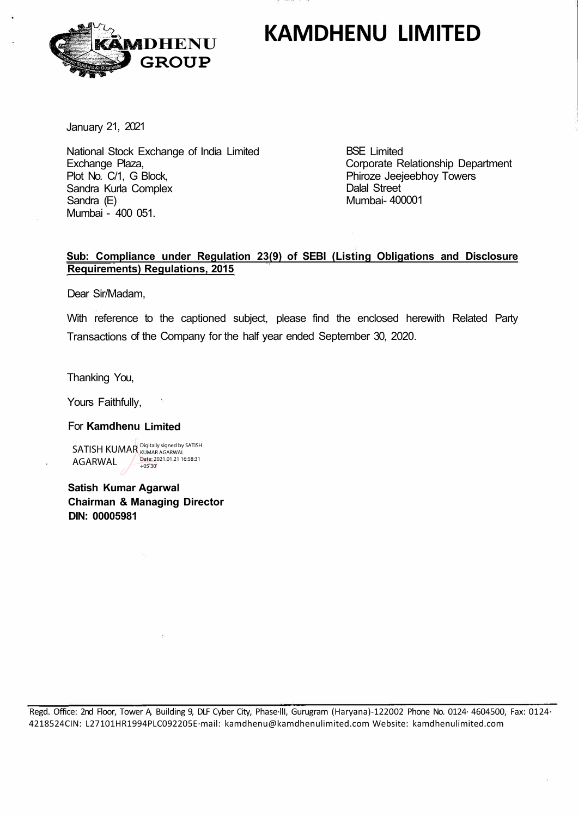# **KAMDHENU LIMITED**



January 21, 2021

National Stock Exchange of India Limited Exchange Plaza, Plot No. C/1, G Block, Sandra Kurla Complex Sandra (E) Mumbai - 400 051.

BSE Limited Corporate Relationship Department Phiroze Jeejeebhoy Towers Dalal Street Mumbai- 400001

### **Sub: Compliance under Regulation 23(9) of SEBI (Listing Obligations and Disclosure Requirements) Regulations, 2015**

Dear Sir/Madam,

With reference to the captioned subject, please find the enclosed herewith Related Party Transactions of the Company for the half year ended September 30, 2020.

Thanking You,

Yours Faithfully,

### For **Kamdhenu Limited**

SATISH KUMAR Digitally signed by SATISH AGARWAL Date: 2021.01.21 16:58:31 +05'30'

**Satish Kumar Agarwal Chairman & Managing Director DIN: 00005981** 

Regd. Office: 2nd Floor, Tower A, Building 9, DLF Cyber City, Phase·llI, Gurugram (Haryana)-122002 Phone No. 0124· 4604500, Fax: 0124· 4218524CIN: L27101HR1994PLC092205E·mail: kamdhenu@kamdhenulimited.com Website: kamdhenulimited.com